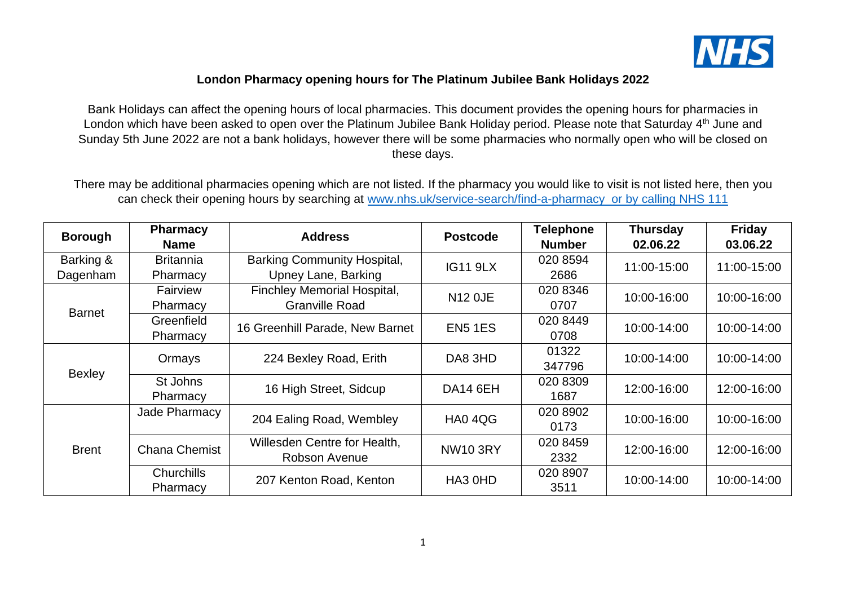

## **London Pharmacy opening hours for The Platinum Jubilee Bank Holidays 2022**

Bank Holidays can affect the opening hours of local pharmacies. This document provides the opening hours for pharmacies in London which have been asked to open over the Platinum Jubilee Bank Holiday period. Please note that Saturday 4<sup>th</sup> June and Sunday 5th June 2022 are not a bank holidays, however there will be some pharmacies who normally open who will be closed on these days.

There may be additional pharmacies opening which are not listed. If the pharmacy you would like to visit is not listed here, then you can check their opening hours by searching at [www.nhs.uk/service-search/find-a-pharmacy](http://www.nhs.uk/service-search/find-a-pharmacy) or by calling NHS 111

| <b>Borough</b> | <b>Pharmacy</b><br><b>Name</b> | <b>Address</b>                     | <b>Postcode</b>            | <b>Telephone</b><br><b>Number</b> | <b>Thursday</b><br>02.06.22 | <b>Friday</b><br>03.06.22 |
|----------------|--------------------------------|------------------------------------|----------------------------|-----------------------------------|-----------------------------|---------------------------|
| Barking &      | <b>Britannia</b>               | <b>Barking Community Hospital,</b> | <b>IG11 9LX</b>            | 020 8594                          | 11:00-15:00                 | 11:00-15:00               |
| Dagenham       | Pharmacy                       | Upney Lane, Barking                |                            | 2686                              |                             |                           |
|                | Fairview                       | Finchley Memorial Hospital,        | <b>N12 OJE</b>             | 020 8346                          | 10:00-16:00                 | 10:00-16:00               |
| <b>Barnet</b>  | Pharmacy                       | <b>Granville Road</b>              |                            | 0707                              |                             |                           |
|                | Greenfield                     | 16 Greenhill Parade, New Barnet    | EN5 1ES                    | 020 8449                          | 10:00-14:00                 | 10:00-14:00               |
|                | Pharmacy                       |                                    |                            | 0708                              |                             |                           |
|                | Ormays                         | 224 Bexley Road, Erith             | DA8 3HD                    | 01322                             | 10:00-14:00                 | 10:00-14:00               |
|                |                                |                                    |                            | 347796                            |                             |                           |
| Bexley         | St Johns                       | 16 High Street, Sidcup             | DA14 6EH                   | 020 8309                          | 12:00-16:00                 | 12:00-16:00               |
|                | Pharmacy                       |                                    |                            | 1687                              |                             |                           |
|                | Jade Pharmacy                  | 204 Ealing Road, Wembley           | 020 8902<br>HA04QG<br>0173 |                                   | 10:00-16:00                 | 10:00-16:00               |
| <b>Brent</b>   |                                |                                    |                            |                                   |                             |                           |
|                | <b>Chana Chemist</b>           | Willesden Centre for Health,       | <b>NW10 3RY</b>            | 020 8459                          | 12:00-16:00                 | 12:00-16:00               |
|                |                                | Robson Avenue                      |                            | 2332                              |                             |                           |
|                | <b>Churchills</b>              | 207 Kenton Road, Kenton            | HA3 0HD                    | 020 8907                          | 10:00-14:00                 | 10:00-14:00               |
|                | Pharmacy                       |                                    |                            | 3511                              |                             |                           |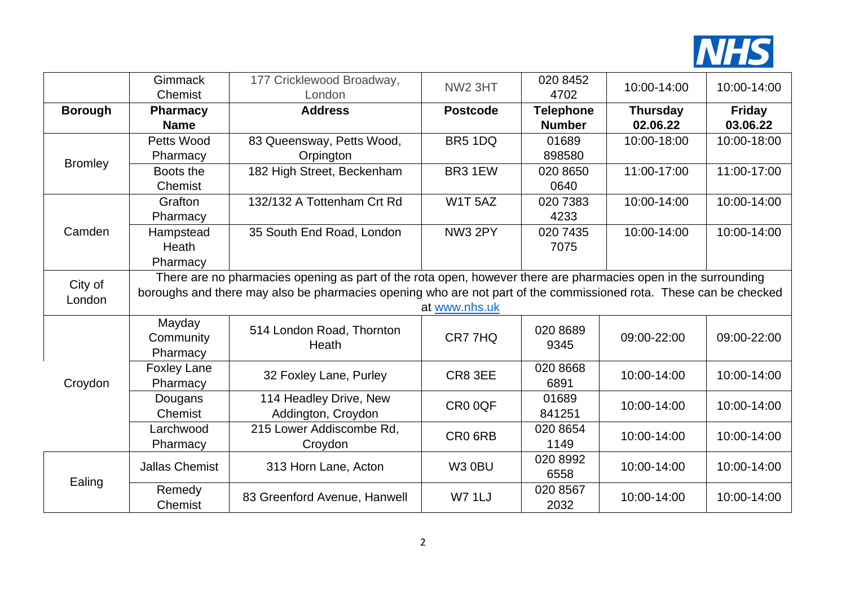

|                | Gimmack<br>Chemist                                                                                                | 177 Cricklewood Broadway,<br>London | <b>NW2 3HT</b>      | 020 8452<br>4702 | 10:00-14:00     | 10:00-14:00   |  |  |
|----------------|-------------------------------------------------------------------------------------------------------------------|-------------------------------------|---------------------|------------------|-----------------|---------------|--|--|
| <b>Borough</b> | <b>Pharmacy</b>                                                                                                   | <b>Address</b>                      | <b>Postcode</b>     | <b>Telephone</b> | <b>Thursday</b> | <b>Friday</b> |  |  |
|                | <b>Name</b>                                                                                                       |                                     |                     | <b>Number</b>    | 02.06.22        | 03.06.22      |  |  |
|                | Petts Wood                                                                                                        | 83 Queensway, Petts Wood,           | BR5 1DQ             | 01689            | 10:00-18:00     | 10:00-18:00   |  |  |
| <b>Bromley</b> | Pharmacy                                                                                                          | Orpington                           |                     | 898580           |                 |               |  |  |
|                | Boots the                                                                                                         | 182 High Street, Beckenham          | BR3 1EW             | 020 8650         | 11:00-17:00     | 11:00-17:00   |  |  |
|                | Chemist                                                                                                           |                                     |                     | 0640             |                 |               |  |  |
|                | Grafton                                                                                                           | 132/132 A Tottenham Crt Rd          | W1T 5AZ             | 020 7383         | 10:00-14:00     | 10:00-14:00   |  |  |
|                | Pharmacy                                                                                                          |                                     |                     | 4233             |                 |               |  |  |
| Camden         | Hampstead                                                                                                         | 35 South End Road, London           | NW3 2PY             | 020 7435         | 10:00-14:00     | 10:00-14:00   |  |  |
|                | Heath                                                                                                             |                                     |                     | 7075             |                 |               |  |  |
|                | Pharmacy                                                                                                          |                                     |                     |                  |                 |               |  |  |
| City of        | There are no pharmacies opening as part of the rota open, however there are pharmacies open in the surrounding    |                                     |                     |                  |                 |               |  |  |
| London         | boroughs and there may also be pharmacies opening who are not part of the commissioned rota. These can be checked |                                     |                     |                  |                 |               |  |  |
|                |                                                                                                                   |                                     | at www.nhs.uk       |                  |                 |               |  |  |
|                | Mayday                                                                                                            | 514 London Road, Thornton           |                     | 020 8689         |                 |               |  |  |
|                | Community                                                                                                         | Heath                               | CR7 7HQ             | 9345             | 09:00-22:00     | 09:00-22:00   |  |  |
|                | Pharmacy                                                                                                          |                                     |                     | 020 8668         |                 |               |  |  |
| Croydon        | <b>Foxley Lane</b><br>Pharmacy                                                                                    | 32 Foxley Lane, Purley              | CR8 3EE             | 6891             | 10:00-14:00     | 10:00-14:00   |  |  |
|                | Dougans                                                                                                           | 114 Headley Drive, New              |                     | 01689            |                 |               |  |  |
|                | Chemist                                                                                                           | Addington, Croydon                  | CR <sub>0</sub> 0QF | 841251           | 10:00-14:00     | 10:00-14:00   |  |  |
|                | Larchwood                                                                                                         | 215 Lower Addiscombe Rd,            |                     | 020 8654         |                 |               |  |  |
|                | Pharmacy                                                                                                          | Croydon                             | CR0 6RB             | 1149             | 10:00-14:00     | 10:00-14:00   |  |  |
|                |                                                                                                                   |                                     |                     | 020 8992         |                 |               |  |  |
|                | <b>Jallas Chemist</b>                                                                                             | 313 Horn Lane, Acton                | <b>W3 0BU</b>       | 6558             | 10:00-14:00     | 10:00-14:00   |  |  |
| Ealing         | Remedy                                                                                                            |                                     | <b>W7 1LJ</b>       | 020 8567         |                 |               |  |  |
|                | Chemist                                                                                                           | 83 Greenford Avenue, Hanwell        |                     | 2032             | 10:00-14:00     | 10:00-14:00   |  |  |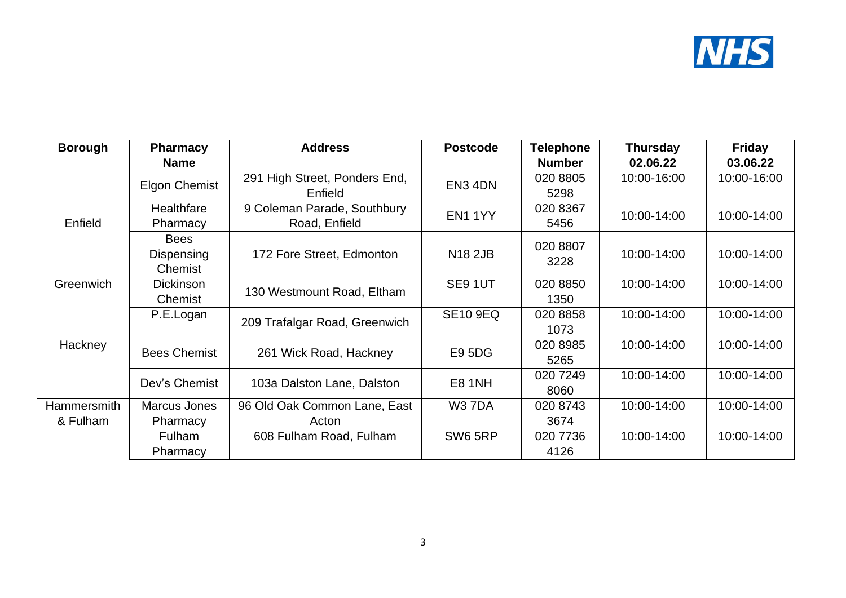

| <b>Borough</b>     | <b>Pharmacy</b>      | <b>Address</b>                | <b>Postcode</b> | <b>Telephone</b> | <b>Thursday</b> | <b>Friday</b> |
|--------------------|----------------------|-------------------------------|-----------------|------------------|-----------------|---------------|
|                    | <b>Name</b>          |                               |                 | <b>Number</b>    | 02.06.22        | 03.06.22      |
|                    | <b>Elgon Chemist</b> | 291 High Street, Ponders End, | EN3 4DN         | 020 8805         | 10:00-16:00     | 10:00-16:00   |
|                    |                      | Enfield                       |                 | 5298             |                 |               |
|                    | Healthfare           | 9 Coleman Parade, Southbury   | EN11YY          | 020 8367         | 10:00-14:00     | 10:00-14:00   |
| Enfield            | Pharmacy             | Road, Enfield                 |                 | 5456             |                 |               |
|                    | <b>Bees</b>          |                               |                 | 020 8807         |                 |               |
|                    | Dispensing           | 172 Fore Street, Edmonton     | <b>N18 2JB</b>  | 3228             | 10:00-14:00     | 10:00-14:00   |
|                    | Chemist              |                               |                 |                  |                 |               |
| Greenwich          | <b>Dickinson</b>     | 130 Westmount Road, Eltham    | SE91UT          | 020 8850         | 10:00-14:00     | 10:00-14:00   |
|                    | Chemist              |                               |                 | 1350             |                 |               |
|                    | P.E.Logan            | 209 Trafalgar Road, Greenwich | <b>SE10 9EQ</b> | 020 8858         | 10:00-14:00     | 10:00-14:00   |
|                    |                      |                               |                 | 1073             |                 |               |
| Hackney            | <b>Bees Chemist</b>  | 261 Wick Road, Hackney        | <b>E95DG</b>    | 020 8985         | 10:00-14:00     | 10:00-14:00   |
|                    |                      |                               |                 | 5265             |                 |               |
|                    | Dev's Chemist        | 103a Dalston Lane, Dalston    | <b>E8 1NH</b>   | 020 7249         | 10:00-14:00     | 10:00-14:00   |
|                    |                      |                               |                 | 8060             |                 |               |
| <b>Hammersmith</b> | Marcus Jones         | 96 Old Oak Common Lane, East  | <b>W37DA</b>    | 020 8743         | 10:00-14:00     | 10:00-14:00   |
| & Fulham           | Pharmacy             | Acton                         |                 | 3674             |                 |               |
|                    | Fulham               | 608 Fulham Road, Fulham       | SW6 5RP         | 020 7736         | 10:00-14:00     | 10:00-14:00   |
|                    | Pharmacy             |                               |                 | 4126             |                 |               |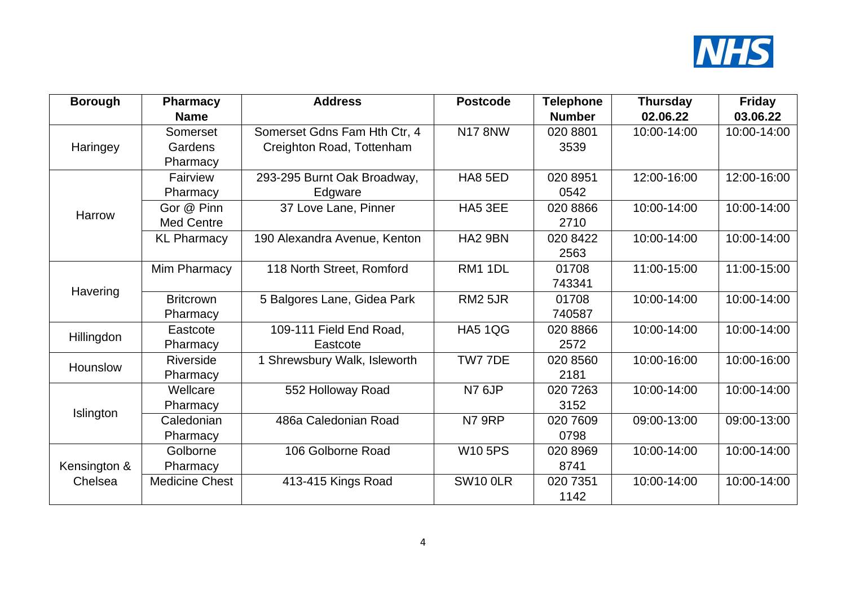

| <b>Borough</b> | <b>Pharmacy</b>       | <b>Address</b>               | <b>Postcode</b>     | <b>Telephone</b> | <b>Thursday</b> | <b>Friday</b> |
|----------------|-----------------------|------------------------------|---------------------|------------------|-----------------|---------------|
|                | <b>Name</b>           |                              |                     | <b>Number</b>    | 02.06.22        | 03.06.22      |
|                | Somerset              | Somerset Gdns Fam Hth Ctr, 4 | <b>N17 8NW</b>      | 020 8801         | 10:00-14:00     | 10:00-14:00   |
| Haringey       | Gardens               | Creighton Road, Tottenham    |                     | 3539             |                 |               |
|                | Pharmacy              |                              |                     |                  |                 |               |
|                | Fairview              | 293-295 Burnt Oak Broadway,  | HA8 5ED             | 020 8951         | 12:00-16:00     | 12:00-16:00   |
|                | Pharmacy              | Edgware                      |                     | 0542             |                 |               |
| Harrow         | Gor @ Pinn            | 37 Love Lane, Pinner         | HA5 3EE             | 020 8866         | 10:00-14:00     | 10:00-14:00   |
|                | <b>Med Centre</b>     |                              |                     | 2710             |                 |               |
|                | <b>KL Pharmacy</b>    | 190 Alexandra Avenue, Kenton | HA <sub>2</sub> 9BN | 020 8422         | 10:00-14:00     | 10:00-14:00   |
|                |                       |                              |                     | 2563             |                 |               |
|                | Mim Pharmacy          | 118 North Street, Romford    | <b>RM1 1DL</b>      | 01708            | 11:00-15:00     | 11:00-15:00   |
| Havering       |                       |                              |                     | 743341           |                 |               |
|                | <b>Britcrown</b>      | 5 Balgores Lane, Gidea Park  | <b>RM2 5JR</b>      | 01708            | 10:00-14:00     | 10:00-14:00   |
|                | Pharmacy              |                              |                     | 740587           |                 |               |
| Hillingdon     | Eastcote              | 109-111 Field End Road,      | <b>HA5 1QG</b>      | 020 8866         | 10:00-14:00     | 10:00-14:00   |
|                | Pharmacy              | Eastcote                     |                     | 2572             |                 |               |
| Hounslow       | Riverside             | 1 Shrewsbury Walk, Isleworth | TW7 7DE             | 020 8560         | 10:00-16:00     | 10:00-16:00   |
|                | Pharmacy              |                              |                     | 2181             |                 |               |
|                | Wellcare              | 552 Holloway Road            | <b>N7 6JP</b>       | 020 7263         | 10:00-14:00     | 10:00-14:00   |
| Islington      | Pharmacy              |                              |                     | 3152             |                 |               |
|                | Caledonian            | 486a Caledonian Road         | <b>N7 9RP</b>       | 020 7609         | 09:00-13:00     | 09:00-13:00   |
|                | Pharmacy              |                              |                     | 0798             |                 |               |
|                | Golborne              | 106 Golborne Road            | <b>W105PS</b>       | 020 8969         | 10:00-14:00     | 10:00-14:00   |
| Kensington &   | Pharmacy              |                              |                     | 8741             |                 |               |
| Chelsea        | <b>Medicine Chest</b> | 413-415 Kings Road           | <b>SW10 0LR</b>     | 020 7351         | 10:00-14:00     | 10:00-14:00   |
|                |                       |                              |                     | 1142             |                 |               |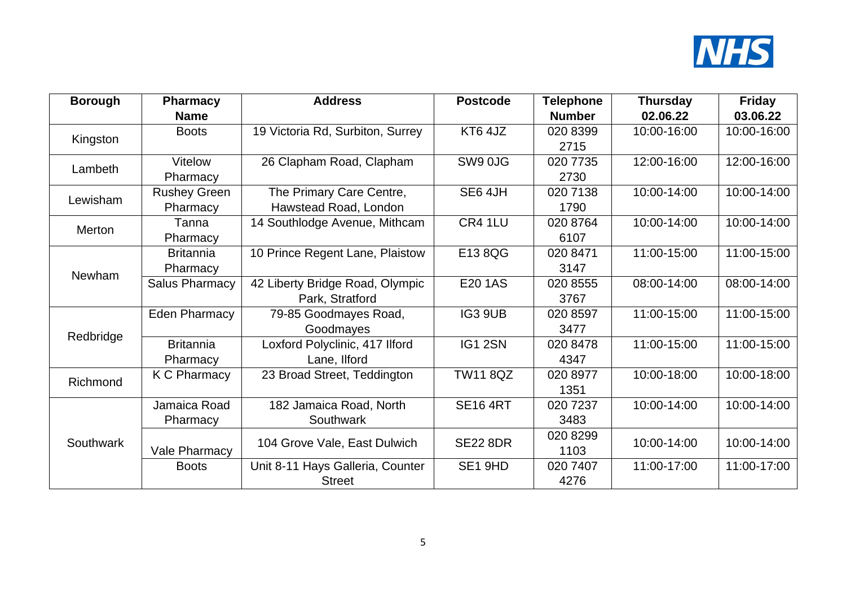

| <b>Borough</b> | <b>Pharmacy</b>     | <b>Address</b>                   | <b>Postcode</b> | <b>Telephone</b> | <b>Thursday</b> | <b>Friday</b> |
|----------------|---------------------|----------------------------------|-----------------|------------------|-----------------|---------------|
|                | <b>Name</b>         |                                  |                 | <b>Number</b>    | 02.06.22        | 03.06.22      |
|                | <b>Boots</b>        | 19 Victoria Rd, Surbiton, Surrey | KT6 4JZ         | 020 8399         | 10:00-16:00     | 10:00-16:00   |
| Kingston       |                     |                                  |                 | 2715             |                 |               |
| Lambeth        | <b>Vitelow</b>      | 26 Clapham Road, Clapham         | SW9 0JG         | 020 7735         | 12:00-16:00     | 12:00-16:00   |
|                | Pharmacy            |                                  |                 | 2730             |                 |               |
| Lewisham       | <b>Rushey Green</b> | The Primary Care Centre,         | SE6 4JH         | 020 7138         | 10:00-14:00     | 10:00-14:00   |
|                | Pharmacy            | Hawstead Road, London            |                 | 1790             |                 |               |
| Merton         | Tanna               | 14 Southlodge Avenue, Mithcam    | CR4 1LU         | 020 8764         | 10:00-14:00     | 10:00-14:00   |
|                | Pharmacy            |                                  |                 | 6107             |                 |               |
|                | <b>Britannia</b>    | 10 Prince Regent Lane, Plaistow  | E138QG          | 020 8471         | 11:00-15:00     | 11:00-15:00   |
| Newham         | Pharmacy            |                                  |                 | 3147             |                 |               |
|                | Salus Pharmacy      | 42 Liberty Bridge Road, Olympic  | E20 1AS         | 020 8555         | 08:00-14:00     | 08:00-14:00   |
|                |                     | Park, Stratford                  |                 | 3767             |                 |               |
|                | Eden Pharmacy       | 79-85 Goodmayes Road,            | IG3 9UB         | 020 8597         | 11:00-15:00     | 11:00-15:00   |
|                |                     | Goodmayes                        |                 | 3477             |                 |               |
| Redbridge      | <b>Britannia</b>    | Loxford Polyclinic, 417 Ilford   | IG1 2SN         | 020 8478         | 11:00-15:00     | 11:00-15:00   |
|                | Pharmacy            | Lane, Ilford                     |                 | 4347             |                 |               |
| Richmond       | K C Pharmacy        | 23 Broad Street, Teddington      | <b>TW11 8QZ</b> | 020 8977         | 10:00-18:00     | 10:00-18:00   |
|                |                     |                                  |                 | 1351             |                 |               |
| Southwark      | Jamaica Road        | 182 Jamaica Road, North          | <b>SE16 4RT</b> | 020 7237         | 10:00-14:00     | 10:00-14:00   |
|                | Pharmacy            | Southwark                        |                 | 3483             |                 |               |
|                |                     |                                  |                 | 020 8299         |                 |               |
|                | Vale Pharmacy       | 104 Grove Vale, East Dulwich     | <b>SE22 8DR</b> | 1103             | 10:00-14:00     | 10:00-14:00   |
|                | <b>Boots</b>        | Unit 8-11 Hays Galleria, Counter | SE1 9HD         | 020 7407         | 11:00-17:00     | 11:00-17:00   |
|                |                     | <b>Street</b>                    |                 | 4276             |                 |               |